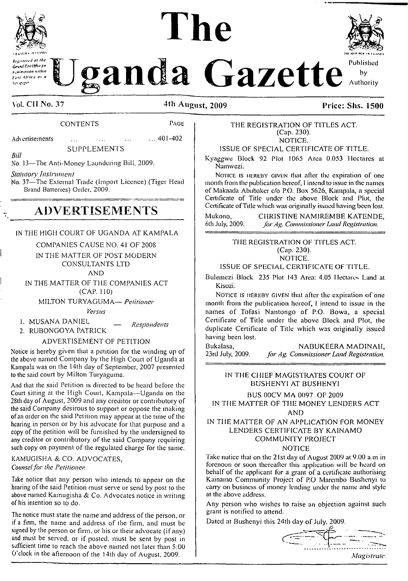

*Kfgi<tereJ i>t the CevnilP***itW** *eJ'\* within fjti ifricj a\* <sup>a</sup>*

# **The**



randa Gazette<sup> Published</sup> by Authority

# **Vol. CII No. 37 4th August, 2009 Price: Shs. 1500**

# CONTENTS Page

Advertisements ... ... ... ... 401-402

*Bill*

SUPPLEMENTS

No. 13—The Anti-Money Laundering Bill, 2009.

#### *Statutory Instrument*

No. 37—The External Trade (Import Licence) (Tiger Head Brand Batteries) Order, 2009.

# **ADVERTISEMENTS**

# IN THE HIGH COURT OF UGANDA AT KAMPALA

### COMPANIES CAUSE NO. 41 OF 200S

IN THE MATTER OF POST MODERN CONSULTANTS LTD AND

IN THE MATTER OF THE COMPANIES ACT (CAP. 110)

MILTON TURYAGUMA— *Petitioner*

*Versus*

1. MUSAN<sup>A</sup> DANIEL *\_ Respondents*

2. RUBONGOYA PATRICK

# ADVERTISEMENT OF PETITION

Notice is hereby given that a petition for the winding up of the above named Company by the High Court of Uganda at Kampala was on the 14th day of September, 2007 presented to the said court by Milton Turyaguma.

And that the said Petition is directed to be heard before the Court sitting at the High Court, Kampala—Uganda on the 28th day of August, 2009 and any creditor or contributory of the said Company desirous to support or oppose the making of an order on the said Petition may appear at the time of the hearing in person or by his advocate for that purpose and a copy of the petition will be furnished by the undersigned to any creditor or contributory of the said Company requiring such copy on payment of the regulated charge for the same.

#### KAMUGISHA & CO. ADVOCATES, *Counselfor the Petitioner.*

Take notice that any person who intends to appear on the hearing of the said Petition must serve or send by post to the above named Kamugisha & Co. Advocates notice in writing of his intention so to do.

The notice must state the name and address of the person, or if a firm, the name and address of the firm, and must be signed by the person or firm, or his or their advocate (if any) and must be served, or if posted, must be sent by post in sufficient time to reach the above named not later than 5:00 0 clock in the afternoon of the 14th day of August, 2009.

THE REGISTRATION OF TITLES ACT. (Cap. 230). NOTICE.

ISSUE OF SPECIAL CERTIFICATE OF TITLE.

Kyaggwe Block 92 Plot 1065 Area 0.053 Hectares at Namwezi.

NOTICE IS HEREBY GIVEN that after the expiration of one month from the publication hereof, <sup>I</sup> intend to issue in the names of Makaada Abubaker c/o P.O. Box 5626, Kampala, a special Certificate of Title under the above Block and Plot, the Certificate of Title which was originally issued having been lost.

Mukono, CHRISTINE NAMIREMBE KATENDE,<br>6th July, 2009. *for Ag. Commissioner Land Registration*. 6th July, 2009. *forAg. Commissioner Land Registration.*

> THE REGISTRATION OF TITLES ACT. (Cap. 230). NOTICE.

ISSUE OF SPECIAL CERTIFICATE OF TITLE.

Bulemezi Block 235 Plot 143 Area: 4.05 Hectares Land at Kisozi.

NOTICE IS HEREBY GIVEN that after the expiration of one month from the publication hereof, <sup>I</sup> intend to issue in the names of Tofasi Nantongo of P.O. Bowa, a special Certificate of Title under the above Block and Plot, the duplicate Certificate of Title which was originally issued having been lost.

Bukalasa, **NABUKEERA MADINAH,**<br>23rd July, 2009. *for Ag. Commissioner Land Registration*. 23rd July, 2009. *for Ag. Commissioner Land Registration.*

### IN THE CHIEF MAGISTRATES COURT OF BUSHENYI AT BUSHENYI

BUS 00CV MA 0097 OF 2009

IN THE MATTER OF THE MONEY LENDERS ACT AND

IN THE MATTER OF AN APPLICATION FOR MONEY LENDERS CERTIFICATE BY KAINAMO COMMUNITY PROJECT

#### NOTICE

Take notice that on the  $21st$  day of August 2009 at 9.00 a.m in forenoon or soon thereafter this application will be heard on behalf of the applicant for a grant of a certificate authorising Kainamo Community Project of P.O Marembo Bushenyi to carry on business of money lending under the name and style at the above address.

Any person who wishes to raise an objection against such grant is notified to attend.

Dated at Bushenyi this 24th day of July, 2009.

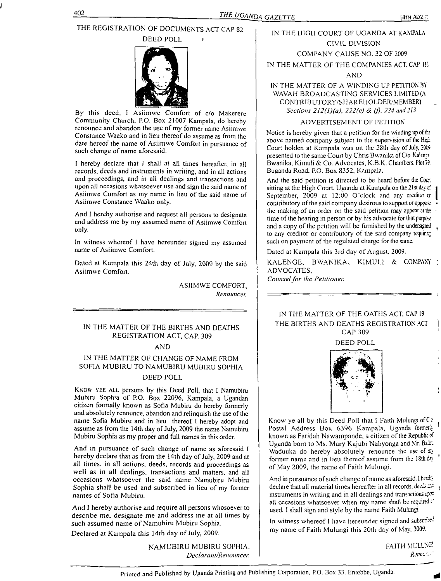# THE REGISTRATION OF DOCUMENTS ACT CAP S2

DEED POLL



By this deed, <sup>I</sup> Asiimwe Comfort of c/o Makerere Community Church. P.O. Box 21007 Kampala, do hereby renounce and abandon the use of my former name Asiimwe Constance Waako and in lieu thereof do assume as from the date hereof the name of Asiimwe Comfort in pursuance of such change of name aforesaid.

<sup>I</sup> hereby declare that I shall at all times hereafter, in all records, deeds and instruments in writing, and in all actions and proceedings, and in all dealings and transactions and upon all occasions whatsoever use and sign the said name of Asiimwe Comfort as my name in lieu of the said name of Asiimwe Constance Waako only.

And <sup>1</sup> hereby authorise and request all persons to designate and address me by my assumed name of Asiimwe Comfort only.

In witness whereof <sup>I</sup> have hereunder signed my assumed name of Asiimwe Comfort.

Dated at Kampala this 24th day of July, 2009 by the said Asiimwe Comfort.

> ASIIMWE COMFORT, *Renouncer.*

# IN THE MATTER OF THE BIRTHS AND DEATHS REGISTRATION ACT, CAP. 309

#### AND

IN THE MATTER OF CHANGE OF NAME FROM SOFIA MUBIRU TO NAMUBIRU MUB1RU SOPHIA DEED POLL

Know yee all persons by this Deed Poll, that <sup>I</sup> Namubiru Mubiru Sophia of P.O. Box 22096, Kampala, a Ugandan citizen formally known as Sofia Mubiru do hereby formerly and absolutely renounce, abandon and relinquish the use of the name Sofia Mubiru and in lieu thereof I hereby adopt and assume as from the 14th day of July, 2009 the name Namubiru Mubiru Sophia as my proper and full names in this order.

And in pursuance of such change of name as aforesaid <sup>I</sup> hereby declare that as from the 14th day of July, 2009 and at all times, in all actions, deeds, records and proceedings as well as in all dealings, transactions and matters, and all occasions whatsoever the said name Namubiru Mubiru Sophia shall be used and subscribed in lieu of my former names of Sofia Mubiru.

And I hereby authorise and require all persons whosoever to describe me, designate me and address me at all times by such assumed name of Namubiru Mubiru Sophia.

Declared at Kampala this 14th day of July, 2009.

NAMUBIRU MUBIRU SOPHIA, *Declarant/Renouncer.*

# IN THE HIGH COURT OF UGANDA AT KAMPALA CIVIL DIVISION

# COMPANY CAUSE NO. 32 OF 2009

IN THE MATTER OF THE COMPANIES ACT. CAP II.

#### AND

# IN THE MATTER OF A WINDING UP PETITION BY WAVAH BROADCASTING SERVICES LIMITED (A CONTRIBUTORY/SHAREHOLDER/MEMBER) *Sections 2l2(l)(a), 222(e) & (j), 224 and 213*

#### ADVERTISEMENT OF PETITION

Notice is hereby given that a petition for the winding up of  $\pm$ above named company subject to the supervision of the High Court holden at Kampala was on the 28th day of July, 2009 presented to the same Court by Chris Bwanika of C/o. Kalenze. Bwanika. Kimuli & Co. Advocates, K.B.K. Chambers. Plot 79. Buganda Road. P.O. Box 8352, Kampala.

And the said petition is directed to be heard before the Cour. sitting at the High Court. Uganda at Kampala on the 21st day of September, 2009 at 12:00 O'clock and any creditor cr contributory of the said company desirous to support or oppose the making of an order on the said petition may appear at the time of the hearing in person or by his advocate for that purpose and a copy of the petition will be furnished by the undersigned. to any creditor or contributory of the said company requinr. such on payment of the regulated charge for the same.

Dated at Kampala this 3rd day of August, 2009.

KALENGE, BWANIKA. KIMULI & COMPANY ADVOCATES,

*Counselfor the Petitioner.*

# IN THE MATTER OF THE OATHS ACT, CAP <sup>19</sup> THE BIRTHS AND DEATHS REGISTRATION ACT CAP 309

DEED POLL



Know ye all by this Deed Poll that I Faith Mulungi of Co Postal Address Box 6396 Kampala, Uganda former. known as Faridah Nawampande, a citizen of the Republic of Uganda born to Ms. Mary Kajubi Nabyonga and Mr. Badr-Waduuka do hereby absolutely renounce the use of  $E_f$ former name and in lieu thereof assume from the  $18th$  day of May 2009, the name of Faith Mulungi.

And in pursuance of such change of name as aforesaid. I hereby declare that all material times hereafter in all records, deeds  $22$ instruments in writing and in all dealings and transactions  $\varphi z$ all occasions whatsoever when my name shall be required. used, I shall sign and style by the name Faith Mulungi.

In witness whereof I have hereunder signed and subscribed my name of Faith Mulungi this 20th day of May. 2009.

> FAITH MULLNG *RenG'.^'*